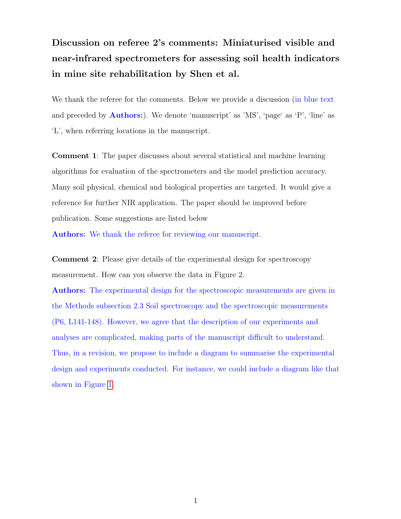## Discussion on referee 2's comments: Miniaturised visible and near-infrared spectrometers for assessing soil health indicators in mine site rehabilitation by Shen et al.

We thank the referee for the comments. Below we provide a discussion (in blue text and preceded by Authors:). We denote 'manuscript' as 'MS', 'page' as 'P', 'line' as 'L', when referring locations in the manuscript.

Comment 1: The paper discusses about several statistical and machine learning algorithms for evaluation of the spectrometers and the model prediction accuracy. Many soil physical, chemical and biological properties are targeted. It would give a reference for further NIR application. The paper should be improved before publication. Some suggestions are listed below

Authors: We thank the referee for reviewing our manuscript.

Comment 2: Please give details of the experimental design for spectroscopy measurement. How can you observe the data in Figure 2.

Authors: The experimental design for the spectroscopic measurements are given in the Methods subsection 2.3 Soil spectroscopy and the spectroscopic measurements (P6, L141-148). However, we agree that the description of our experiments and analyses are complicated, making parts of the manuscript difficult to understand. Thus, in a revision, we propose to include a diagram to summarise the experimental design and experiments conducted. For instance, we could include a diagram like that shown in Figure [1.](#page-1-0)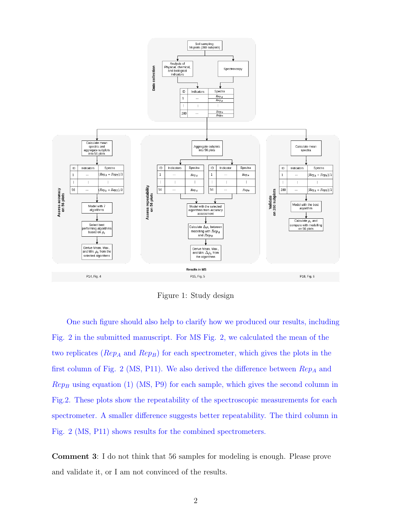

<span id="page-1-0"></span>Figure 1: Study design

One such figure should also help to clarify how we produced our results, including Fig. 2 in the submitted manuscript. For MS Fig. 2, we calculated the mean of the two replicates ( $Rep_A$  and  $Rep_B$ ) for each spectrometer, which gives the plots in the first column of Fig. 2 (MS, P11). We also derived the difference between  $\mathbb{R}e_{PA}$  and  $Rep_B$  using equation (1) (MS, P9) for each sample, which gives the second column in Fig.2. These plots show the repeatability of the spectroscopic measurements for each spectrometer. A smaller difference suggests better repeatability. The third column in Fig. 2 (MS, P11) shows results for the combined spectrometers.

Comment 3: I do not think that 56 samples for modeling is enough. Please prove and validate it, or I am not convinced of the results.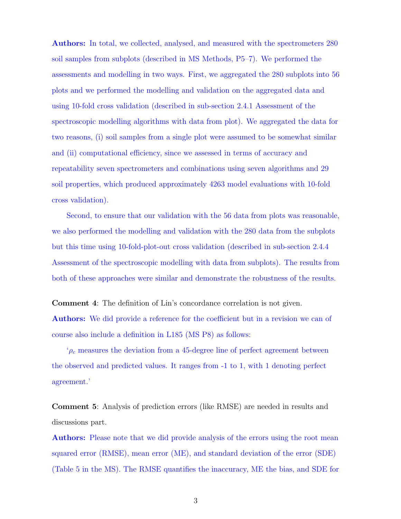Authors: In total, we collected, analysed, and measured with the spectrometers 280 soil samples from subplots (described in MS Methods, P5–7). We performed the assessments and modelling in two ways. First, we aggregated the 280 subplots into 56 plots and we performed the modelling and validation on the aggregated data and using 10-fold cross validation (described in sub-section 2.4.1 Assessment of the spectroscopic modelling algorithms with data from plot). We aggregated the data for two reasons, (i) soil samples from a single plot were assumed to be somewhat similar and (ii) computational efficiency, since we assessed in terms of accuracy and repeatability seven spectrometers and combinations using seven algorithms and 29 soil properties, which produced approximately 4263 model evaluations with 10-fold cross validation).

Second, to ensure that our validation with the 56 data from plots was reasonable, we also performed the modelling and validation with the 280 data from the subplots but this time using 10-fold-plot-out cross validation (described in sub-section 2.4.4 Assessment of the spectroscopic modelling with data from subplots). The results from both of these approaches were similar and demonstrate the robustness of the results.

Comment 4: The definition of Lin's concordance correlation is not given. Authors: We did provide a reference for the coefficient but in a revision we can of course also include a definition in L185 (MS P8) as follows:

 $\varphi_c$  measures the deviation from a 45-degree line of perfect agreement between the observed and predicted values. It ranges from -1 to 1, with 1 denoting perfect agreement.'

Comment 5: Analysis of prediction errors (like RMSE) are needed in results and discussions part.

Authors: Please note that we did provide analysis of the errors using the root mean squared error (RMSE), mean error (ME), and standard deviation of the error (SDE) (Table 5 in the MS). The RMSE quantifies the inaccuracy, ME the bias, and SDE for